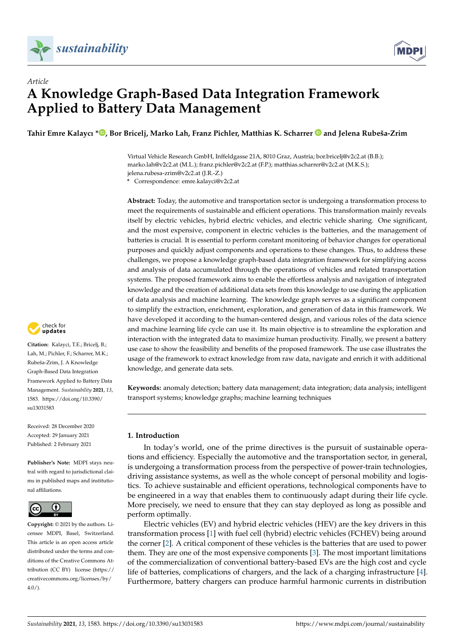



# *Article* **A Knowledge Graph-Based Data Integration Framework Applied to Battery Data Management**

**Tahir Emre Kalaycı [\\*](https://orcid.org/0000-0001-6228-1221) , Bor Bricelj, Marko Lah, Franz Pichler, Matthias K. Scharrer and Jelena Rubeša-Zrim**

Virtual Vehicle Research GmbH, Inffeldgasse 21A, 8010 Graz, Austria; bor.bricelj@v2c2.at (B.B.); marko.lah@v2c2.at (M.L.); franz.pichler@v2c2.at (F.P.); matthias.scharrer@v2c2.at (M.K.S.); jelena.rubesa-zrim@v2c2.at (J.R.-Z.)

**\*** Correspondence: emre.kalayci@v2c2.at

**Abstract:** Today, the automotive and transportation sector is undergoing a transformation process to meet the requirements of sustainable and efficient operations. This transformation mainly reveals itself by electric vehicles, hybrid electric vehicles, and electric vehicle sharing. One significant, and the most expensive, component in electric vehicles is the batteries, and the management of batteries is crucial. It is essential to perform constant monitoring of behavior changes for operational purposes and quickly adjust components and operations to these changes. Thus, to address these challenges, we propose a knowledge graph-based data integration framework for simplifying access and analysis of data accumulated through the operations of vehicles and related transportation systems. The proposed framework aims to enable the effortless analysis and navigation of integrated knowledge and the creation of additional data sets from this knowledge to use during the application of data analysis and machine learning. The knowledge graph serves as a significant component to simplify the extraction, enrichment, exploration, and generation of data in this framework. We have developed it according to the human-centered design, and various roles of the data science and machine learning life cycle can use it. Its main objective is to streamline the exploration and interaction with the integrated data to maximize human productivity. Finally, we present a battery use case to show the feasibility and benefits of the proposed framework. The use case illustrates the usage of the framework to extract knowledge from raw data, navigate and enrich it with additional knowledge, and generate data sets.

**Keywords:** anomaly detection; battery data management; data integration; data analysis; intelligent transport systems; knowledge graphs; machine learning techniques

# **1. Introduction**

In today's world, one of the prime directives is the pursuit of sustainable operations and efficiency. Especially the automotive and the transportation sector, in general, is undergoing a transformation process from the perspective of power-train technologies, driving assistance systems, as well as the whole concept of personal mobility and logistics. To achieve sustainable and efficient operations, technological components have to be engineered in a way that enables them to continuously adapt during their life cycle. More precisely, we need to ensure that they can stay deployed as long as possible and perform optimally.

Electric vehicles (EV) and hybrid electric vehicles (HEV) are the key drivers in this transformation process [\[1\]](#page-14-0) with fuel cell (hybrid) electric vehicles (FCHEV) being around the corner [\[2\]](#page-14-1). A critical component of these vehicles is the batteries that are used to power them. They are one of the most expensive components [\[3\]](#page-14-2). The most important limitations of the commercialization of conventional battery-based EVs are the high cost and cycle life of batteries, complications of chargers, and the lack of a charging infrastructure [\[4\]](#page-14-3). Furthermore, battery chargers can produce harmful harmonic currents in distribution



**Citation:** Kalayci, T.E.; Bricelj, B.; Lah, M.; Pichler, F.; Scharrer, M.K.; Rubeša-Zrim, J. A Knowledge Graph-Based Data Integration Framework Applied to Battery Data Management. *Sustainability* **2021**, *13*, 1583. [https://doi.org/10.3390/](https://doi.org/10.3390/su13031583) [su13031583](https://doi.org/10.3390/su13031583)

Received: 28 December 2020 Accepted: 29 January 2021 Published: 2 February 2021

**Publisher's Note:** MDPI stays neutral with regard to jurisdictional claims in published maps and institutional affiliations.



**Copyright:** © 2021 by the authors. Licensee MDPI, Basel, Switzerland. This article is an open access article distributed under the terms and conditions of the Creative Commons Attribution (CC BY) license [\(https://](https://creativecommons.org/licenses/by/4.0/) [creativecommons.org/licenses/by/](https://creativecommons.org/licenses/by/4.0/)  $4.0/$ ).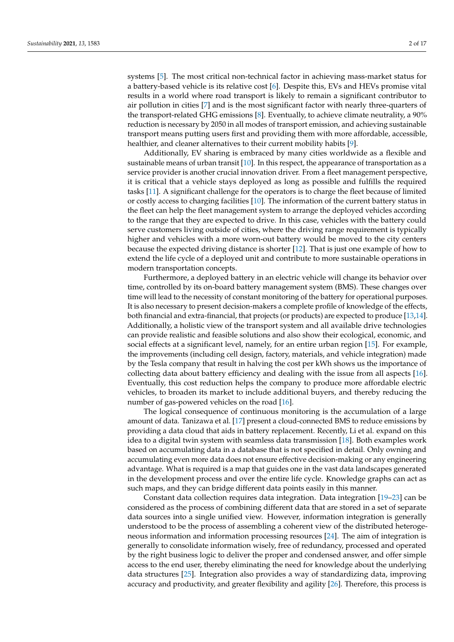systems [\[5\]](#page-14-4). The most critical non-technical factor in achieving mass-market status for a battery-based vehicle is its relative cost [\[6\]](#page-14-5). Despite this, EVs and HEVs promise vital results in a world where road transport is likely to remain a significant contributor to air pollution in cities [\[7\]](#page-14-6) and is the most significant factor with nearly three-quarters of the transport-related GHG emissions [\[8\]](#page-14-7). Eventually, to achieve climate neutrality, a 90% reduction is necessary by 2050 in all modes of transport emission, and achieving sustainable transport means putting users first and providing them with more affordable, accessible, healthier, and cleaner alternatives to their current mobility habits [\[9\]](#page-14-8).

Additionally, EV sharing is embraced by many cities worldwide as a flexible and sustainable means of urban transit [\[10\]](#page-14-9). In this respect, the appearance of transportation as a service provider is another crucial innovation driver. From a fleet management perspective, it is critical that a vehicle stays deployed as long as possible and fulfills the required tasks [\[11\]](#page-14-10). A significant challenge for the operators is to charge the fleet because of limited or costly access to charging facilities [\[10\]](#page-14-9). The information of the current battery status in the fleet can help the fleet management system to arrange the deployed vehicles according to the range that they are expected to drive. In this case, vehicles with the battery could serve customers living outside of cities, where the driving range requirement is typically higher and vehicles with a more worn-out battery would be moved to the city centers because the expected driving distance is shorter [\[12\]](#page-14-11). That is just one example of how to extend the life cycle of a deployed unit and contribute to more sustainable operations in modern transportation concepts.

Furthermore, a deployed battery in an electric vehicle will change its behavior over time, controlled by its on-board battery management system (BMS). These changes over time will lead to the necessity of constant monitoring of the battery for operational purposes. It is also necessary to present decision-makers a complete profile of knowledge of the effects, both financial and extra-financial, that projects (or products) are expected to produce [\[13](#page-14-12)[,14\]](#page-15-0). Additionally, a holistic view of the transport system and all available drive technologies can provide realistic and feasible solutions and also show their ecological, economic, and social effects at a significant level, namely, for an entire urban region [\[15\]](#page-15-1). For example, the improvements (including cell design, factory, materials, and vehicle integration) made by the Tesla company that result in halving the cost per kWh shows us the importance of collecting data about battery efficiency and dealing with the issue from all aspects [\[16\]](#page-15-2). Eventually, this cost reduction helps the company to produce more affordable electric vehicles, to broaden its market to include additional buyers, and thereby reducing the number of gas-powered vehicles on the road [\[16\]](#page-15-2).

The logical consequence of continuous monitoring is the accumulation of a large amount of data. Tanizawa et al. [\[17\]](#page-15-3) present a cloud-connected BMS to reduce emissions by providing a data cloud that aids in battery replacement. Recently, Li et al. expand on this idea to a digital twin system with seamless data transmission [\[18\]](#page-15-4). Both examples work based on accumulating data in a database that is not specified in detail. Only owning and accumulating even more data does not ensure effective decision-making or any engineering advantage. What is required is a map that guides one in the vast data landscapes generated in the development process and over the entire life cycle. Knowledge graphs can act as such maps, and they can bridge different data points easily in this manner.

Constant data collection requires data integration. Data integration [\[19](#page-15-5)[–23\]](#page-15-6) can be considered as the process of combining different data that are stored in a set of separate data sources into a single unified view. However, information integration is generally understood to be the process of assembling a coherent view of the distributed heterogeneous information and information processing resources [\[24\]](#page-15-7). The aim of integration is generally to consolidate information wisely, free of redundancy, processed and operated by the right business logic to deliver the proper and condensed answer, and offer simple access to the end user, thereby eliminating the need for knowledge about the underlying data structures [\[25\]](#page-15-8). Integration also provides a way of standardizing data, improving accuracy and productivity, and greater flexibility and agility [\[26\]](#page-15-9). Therefore, this process is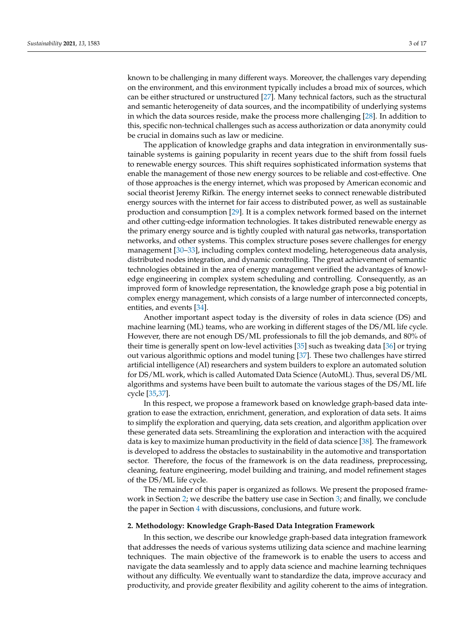known to be challenging in many different ways. Moreover, the challenges vary depending on the environment, and this environment typically includes a broad mix of sources, which can be either structured or unstructured [\[27\]](#page-15-10). Many technical factors, such as the structural and semantic heterogeneity of data sources, and the incompatibility of underlying systems in which the data sources reside, make the process more challenging [\[28\]](#page-15-11). In addition to this, specific non-technical challenges such as access authorization or data anonymity could be crucial in domains such as law or medicine.

The application of knowledge graphs and data integration in environmentally sustainable systems is gaining popularity in recent years due to the shift from fossil fuels to renewable energy sources. This shift requires sophisticated information systems that enable the management of those new energy sources to be reliable and cost-effective. One of those approaches is the energy internet, which was proposed by American economic and social theorist Jeremy Rifkin. The energy internet seeks to connect renewable distributed energy sources with the internet for fair access to distributed power, as well as sustainable production and consumption [\[29\]](#page-15-12). It is a complex network formed based on the internet and other cutting-edge information technologies. It takes distributed renewable energy as the primary energy source and is tightly coupled with natural gas networks, transportation networks, and other systems. This complex structure poses severe challenges for energy management [\[30](#page-15-13)[–33\]](#page-15-14), including complex context modeling, heterogeneous data analysis, distributed nodes integration, and dynamic controlling. The great achievement of semantic technologies obtained in the area of energy management verified the advantages of knowledge engineering in complex system scheduling and controlling. Consequently, as an improved form of knowledge representation, the knowledge graph pose a big potential in complex energy management, which consists of a large number of interconnected concepts, entities, and events [\[34\]](#page-15-15).

Another important aspect today is the diversity of roles in data science (DS) and machine learning (ML) teams, who are working in different stages of the DS/ML life cycle. However, there are not enough DS/ML professionals to fill the job demands, and 80% of their time is generally spent on low-level activities [\[35\]](#page-15-16) such as tweaking data [\[36\]](#page-15-17) or trying out various algorithmic options and model tuning [\[37\]](#page-15-18). These two challenges have stirred artificial intelligence (AI) researchers and system builders to explore an automated solution for DS/ML work, which is called Automated Data Science (AutoML). Thus, several DS/ML algorithms and systems have been built to automate the various stages of the DS/ML life cycle [\[35,](#page-15-16)[37\]](#page-15-18).

In this respect, we propose a framework based on knowledge graph-based data integration to ease the extraction, enrichment, generation, and exploration of data sets. It aims to simplify the exploration and querying, data sets creation, and algorithm application over these generated data sets. Streamlining the exploration and interaction with the acquired data is key to maximize human productivity in the field of data science [\[38\]](#page-15-19). The framework is developed to address the obstacles to sustainability in the automotive and transportation sector. Therefore, the focus of the framework is on the data readiness, preprocessing, cleaning, feature engineering, model building and training, and model refinement stages of the DS/ML life cycle.

The remainder of this paper is organized as follows. We present the proposed framework in Section [2;](#page-2-0) we describe the battery use case in Section [3;](#page-7-0) and finally, we conclude the paper in Section [4](#page-13-0) with discussions, conclusions, and future work.

# <span id="page-2-0"></span>**2. Methodology: Knowledge Graph-Based Data Integration Framework**

In this section, we describe our knowledge graph-based data integration framework that addresses the needs of various systems utilizing data science and machine learning techniques. The main objective of the framework is to enable the users to access and navigate the data seamlessly and to apply data science and machine learning techniques without any difficulty. We eventually want to standardize the data, improve accuracy and productivity, and provide greater flexibility and agility coherent to the aims of integration.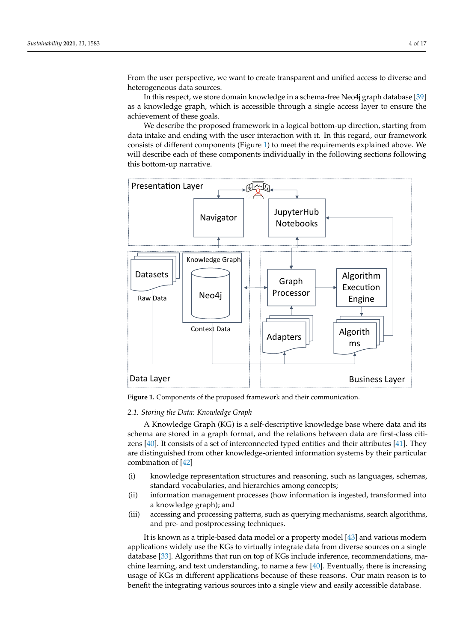From the user perspective, we want to create transparent and unified access to diverse and heterogeneous data sources.

In this respect, we store domain knowledge in a schema-free Neo4j graph database [\[39\]](#page-15-20) as a knowledge graph, which is accessible through a single access layer to ensure the achievement of these goals.

We describe the proposed framework in a logical bottom-up direction, starting from data intake and ending with the user interaction with it. In this regard, our framework consists of different components (Figure [1\)](#page-3-0) to meet the requirements explained above. We will describe each of these components individually in the following sections following this bottom-up narrative.

<span id="page-3-0"></span>

**Figure 1.** Components of the proposed framework and their communication.

# *2.1. Storing the Data: Knowledge Graph*

A Knowledge Graph (KG) is a self-descriptive knowledge base where data and its schema are stored in a graph format, and the relations between data are first-class citizens [\[40\]](#page-15-21). It consists of a set of interconnected typed entities and their attributes [\[41\]](#page-16-0). They are distinguished from other knowledge-oriented information systems by their particular combination of [\[42\]](#page-16-1)

- (i) knowledge representation structures and reasoning, such as languages, schemas, standard vocabularies, and hierarchies among concepts;
- (ii) information management processes (how information is ingested, transformed into a knowledge graph); and
- (iii) accessing and processing patterns, such as querying mechanisms, search algorithms, and pre- and postprocessing techniques.

It is known as a triple-based data model or a property model [\[43\]](#page-16-2) and various modern applications widely use the KGs to virtually integrate data from diverse sources on a single database [\[33\]](#page-15-14). Algorithms that run on top of KGs include inference, recommendations, machine learning, and text understanding, to name a few [\[40\]](#page-15-21). Eventually, there is increasing usage of KGs in different applications because of these reasons. Our main reason is to benefit the integrating various sources into a single view and easily accessible database.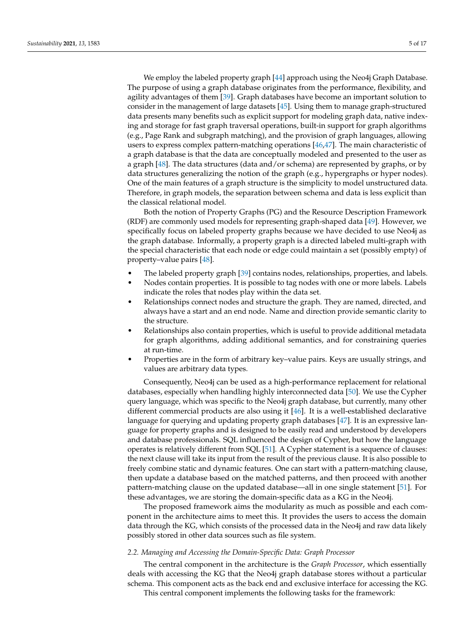We employ the labeled property graph [\[44\]](#page-16-3) approach using the Neo4j Graph Database. The purpose of using a graph database originates from the performance, flexibility, and agility advantages of them [\[39\]](#page-15-20). Graph databases have become an important solution to consider in the management of large datasets [\[45\]](#page-16-4). Using them to manage graph-structured data presents many benefits such as explicit support for modeling graph data, native indexing and storage for fast graph traversal operations, built-in support for graph algorithms (e.g., Page Rank and subgraph matching), and the provision of graph languages, allowing users to express complex pattern-matching operations [\[46,](#page-16-5)[47\]](#page-16-6). The main characteristic of a graph database is that the data are conceptually modeled and presented to the user as a graph [\[48\]](#page-16-7). The data structures (data and/or schema) are represented by graphs, or by data structures generalizing the notion of the graph (e.g., hypergraphs or hyper nodes). One of the main features of a graph structure is the simplicity to model unstructured data. Therefore, in graph models, the separation between schema and data is less explicit than the classical relational model.

Both the notion of Property Graphs (PG) and the Resource Description Framework (RDF) are commonly used models for representing graph-shaped data [\[49\]](#page-16-8). However, we specifically focus on labeled property graphs because we have decided to use Neo4j as the graph database. Informally, a property graph is a directed labeled multi-graph with the special characteristic that each node or edge could maintain a set (possibly empty) of property–value pairs [\[48\]](#page-16-7).

- The labeled property graph [\[39\]](#page-15-20) contains nodes, relationships, properties, and labels.
- Nodes contain properties. It is possible to tag nodes with one or more labels. Labels indicate the roles that nodes play within the data set.
- Relationships connect nodes and structure the graph. They are named, directed, and always have a start and an end node. Name and direction provide semantic clarity to the structure.
- Relationships also contain properties, which is useful to provide additional metadata for graph algorithms, adding additional semantics, and for constraining queries at run-time.
- Properties are in the form of arbitrary key–value pairs. Keys are usually strings, and values are arbitrary data types.

Consequently, Neo4j can be used as a high-performance replacement for relational databases, especially when handling highly interconnected data [\[50\]](#page-16-9). We use the Cypher query language, which was specific to the Neo4j graph database, but currently, many other different commercial products are also using it [\[46\]](#page-16-5). It is a well-established declarative language for querying and updating property graph databases [\[47\]](#page-16-6). It is an expressive language for property graphs and is designed to be easily read and understood by developers and database professionals. SQL influenced the design of Cypher, but how the language operates is relatively different from SQL [\[51\]](#page-16-10). A Cypher statement is a sequence of clauses: the next clause will take its input from the result of the previous clause. It is also possible to freely combine static and dynamic features. One can start with a pattern-matching clause, then update a database based on the matched patterns, and then proceed with another pattern-matching clause on the updated database—all in one single statement [\[51\]](#page-16-10). For these advantages, we are storing the domain-specific data as a KG in the Neo4j.

The proposed framework aims the modularity as much as possible and each component in the architecture aims to meet this. It provides the users to access the domain data through the KG, which consists of the processed data in the Neo4j and raw data likely possibly stored in other data sources such as file system.

## <span id="page-4-0"></span>*2.2. Managing and Accessing the Domain-Specific Data: Graph Processor*

The central component in the architecture is the *Graph Processor*, which essentially deals with accessing the KG that the Neo4j graph database stores without a particular schema. This component acts as the back end and exclusive interface for accessing the KG.

This central component implements the following tasks for the framework: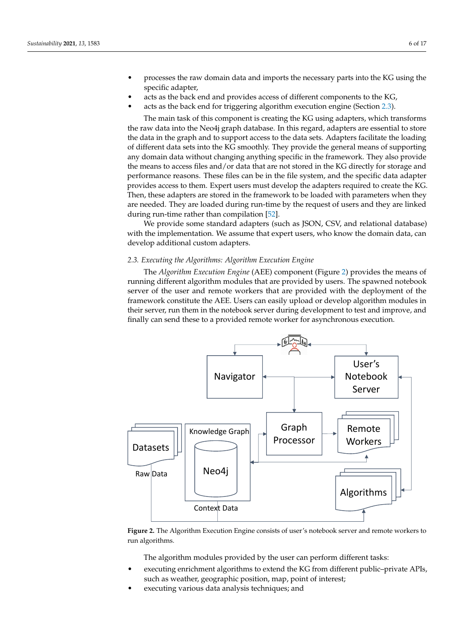- processes the raw domain data and imports the necessary parts into the KG using the specific adapter,
- acts as the back end and provides access of different components to the KG,
- acts as the back end for triggering algorithm execution engine (Section [2.3\)](#page-5-0).

The main task of this component is creating the KG using adapters, which transforms the raw data into the Neo4j graph database. In this regard, adapters are essential to store the data in the graph and to support access to the data sets. Adapters facilitate the loading of different data sets into the KG smoothly. They provide the general means of supporting any domain data without changing anything specific in the framework. They also provide the means to access files and/or data that are not stored in the KG directly for storage and performance reasons. These files can be in the file system, and the specific data adapter provides access to them. Expert users must develop the adapters required to create the KG. Then, these adapters are stored in the framework to be loaded with parameters when they are needed. They are loaded during run-time by the request of users and they are linked during run-time rather than compilation [\[52\]](#page-16-11).

We provide some standard adapters (such as JSON, CSV, and relational database) with the implementation. We assume that expert users, who know the domain data, can develop additional custom adapters.

# <span id="page-5-0"></span>*2.3. Executing the Algorithms: Algorithm Execution Engine*

The *Algorithm Execution Engine* (AEE) component (Figure [2\)](#page-5-1) provides the means of running different algorithm modules that are provided by users. The spawned notebook server of the user and remote workers that are provided with the deployment of the framework constitute the AEE. Users can easily upload or develop algorithm modules in their server, run them in the notebook server during development to test and improve, and finally can send these to a provided remote worker for asynchronous execution.

<span id="page-5-1"></span>

**Figure 2.** The Algorithm Execution Engine consists of user's notebook server and remote workers to run algorithms.

The algorithm modules provided by the user can perform different tasks:

- executing enrichment algorithms to extend the KG from different public–private APIs, such as weather, geographic position, map, point of interest;
- executing various data analysis techniques; and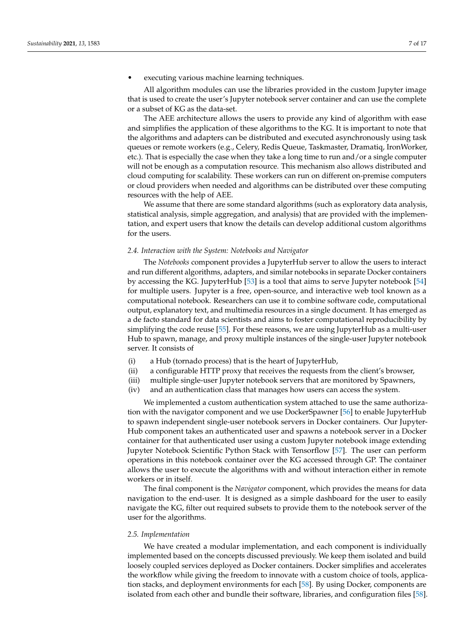# • executing various machine learning techniques.

All algorithm modules can use the libraries provided in the custom Jupyter image that is used to create the user's Jupyter notebook server container and can use the complete or a subset of KG as the data-set.

The AEE architecture allows the users to provide any kind of algorithm with ease and simplifies the application of these algorithms to the KG. It is important to note that the algorithms and adapters can be distributed and executed asynchronously using task queues or remote workers (e.g., Celery, Redis Queue, Taskmaster, Dramatiq, IronWorker, etc.). That is especially the case when they take a long time to run and/or a single computer will not be enough as a computation resource. This mechanism also allows distributed and cloud computing for scalability. These workers can run on different on-premise computers or cloud providers when needed and algorithms can be distributed over these computing resources with the help of AEE.

We assume that there are some standard algorithms (such as exploratory data analysis, statistical analysis, simple aggregation, and analysis) that are provided with the implementation, and expert users that know the details can develop additional custom algorithms for the users.

# <span id="page-6-0"></span>*2.4. Interaction with the System: Notebooks and Navigator*

The *Notebooks* component provides a JupyterHub server to allow the users to interact and run different algorithms, adapters, and similar notebooks in separate Docker containers by accessing the KG. JupyterHub [\[53\]](#page-16-12) is a tool that aims to serve Jupyter notebook [\[54\]](#page-16-13) for multiple users. Jupyter is a free, open-source, and interactive web tool known as a computational notebook. Researchers can use it to combine software code, computational output, explanatory text, and multimedia resources in a single document. It has emerged as a de facto standard for data scientists and aims to foster computational reproducibility by simplifying the code reuse [\[55\]](#page-16-14). For these reasons, we are using JupyterHub as a multi-user Hub to spawn, manage, and proxy multiple instances of the single-user Jupyter notebook server. It consists of

- (i) a Hub (tornado process) that is the heart of JupyterHub,
- (ii) a configurable HTTP proxy that receives the requests from the client's browser,
- (iii) multiple single-user Jupyter notebook servers that are monitored by Spawners,
- (iv) and an authentication class that manages how users can access the system.

We implemented a custom authentication system attached to use the same authorization with the navigator component and we use DockerSpawner [\[56\]](#page-16-15) to enable JupyterHub to spawn independent single-user notebook servers in Docker containers. Our Jupyter-Hub component takes an authenticated user and spawns a notebook server in a Docker container for that authenticated user using a custom Jupyter notebook image extending Jupyter Notebook Scientific Python Stack with Tensorflow [\[57\]](#page-16-16). The user can perform operations in this notebook container over the KG accessed through GP. The container allows the user to execute the algorithms with and without interaction either in remote workers or in itself.

The final component is the *Navigator* component, which provides the means for data navigation to the end-user. It is designed as a simple dashboard for the user to easily navigate the KG, filter out required subsets to provide them to the notebook server of the user for the algorithms.

#### *2.5. Implementation*

We have created a modular implementation, and each component is individually implemented based on the concepts discussed previously. We keep them isolated and build loosely coupled services deployed as Docker containers. Docker simplifies and accelerates the workflow while giving the freedom to innovate with a custom choice of tools, application stacks, and deployment environments for each [\[58\]](#page-16-17). By using Docker, components are isolated from each other and bundle their software, libraries, and configuration files [\[58\]](#page-16-17).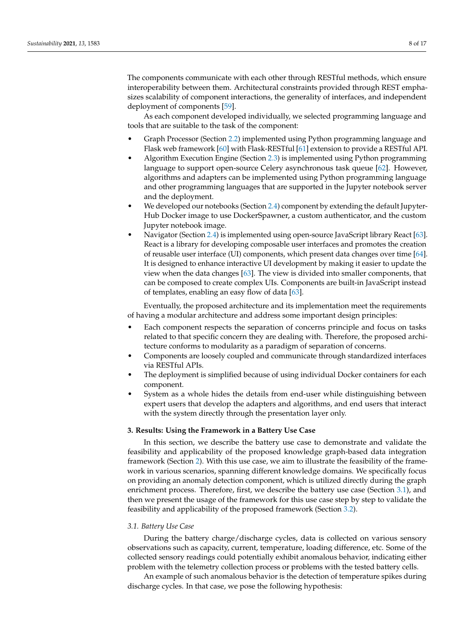The components communicate with each other through RESTful methods, which ensure interoperability between them. Architectural constraints provided through REST emphasizes scalability of component interactions, the generality of interfaces, and independent deployment of components [\[59\]](#page-16-18).

As each component developed individually, we selected programming language and tools that are suitable to the task of the component:

- Graph Processor (Section [2.2\)](#page-4-0) implemented using Python programming language and Flask web framework [\[60\]](#page-16-19) with Flask-RESTful [\[61\]](#page-16-20) extension to provide a RESTful API.
- Algorithm Execution Engine (Section [2.3\)](#page-5-0) is implemented using Python programming language to support open-source Celery asynchronous task queue [\[62\]](#page-16-21). However, algorithms and adapters can be implemented using Python programming language and other programming languages that are supported in the Jupyter notebook server and the deployment.
- We developed our notebooks (Section [2.4\)](#page-6-0) component by extending the default Jupyter-Hub Docker image to use DockerSpawner, a custom authenticator, and the custom Jupyter notebook image.
- Navigator (Section [2.4\)](#page-6-0) is implemented using open-source JavaScript library React [\[63\]](#page-16-22). React is a library for developing composable user interfaces and promotes the creation of reusable user interface (UI) components, which present data changes over time [\[64\]](#page-16-23). It is designed to enhance interactive UI development by making it easier to update the view when the data changes [\[63\]](#page-16-22). The view is divided into smaller components, that can be composed to create complex UIs. Components are built-in JavaScript instead of templates, enabling an easy flow of data [\[63\]](#page-16-22).

Eventually, the proposed architecture and its implementation meet the requirements of having a modular architecture and address some important design principles:

- Each component respects the separation of concerns principle and focus on tasks related to that specific concern they are dealing with. Therefore, the proposed architecture conforms to modularity as a paradigm of separation of concerns.
- Components are loosely coupled and communicate through standardized interfaces via RESTful APIs.
- The deployment is simplified because of using individual Docker containers for each component.
- System as a whole hides the details from end-user while distinguishing between expert users that develop the adapters and algorithms, and end users that interact with the system directly through the presentation layer only.

# <span id="page-7-0"></span>**3. Results: Using the Framework in a Battery Use Case**

In this section, we describe the battery use case to demonstrate and validate the feasibility and applicability of the proposed knowledge graph-based data integration framework (Section [2\)](#page-2-0). With this use case, we aim to illustrate the feasibility of the framework in various scenarios, spanning different knowledge domains. We specifically focus on providing an anomaly detection component, which is utilized directly during the graph enrichment process. Therefore, first, we describe the battery use case (Section [3.1\)](#page-7-1), and then we present the usage of the framework for this use case step by step to validate the feasibility and applicability of the proposed framework (Section [3.2\)](#page-8-0).

## <span id="page-7-1"></span>*3.1. Battery Use Case*

During the battery charge/discharge cycles, data is collected on various sensory observations such as capacity, current, temperature, loading difference, etc. Some of the collected sensory readings could potentially exhibit anomalous behavior, indicating either problem with the telemetry collection process or problems with the tested battery cells.

An example of such anomalous behavior is the detection of temperature spikes during discharge cycles. In that case, we pose the following hypothesis: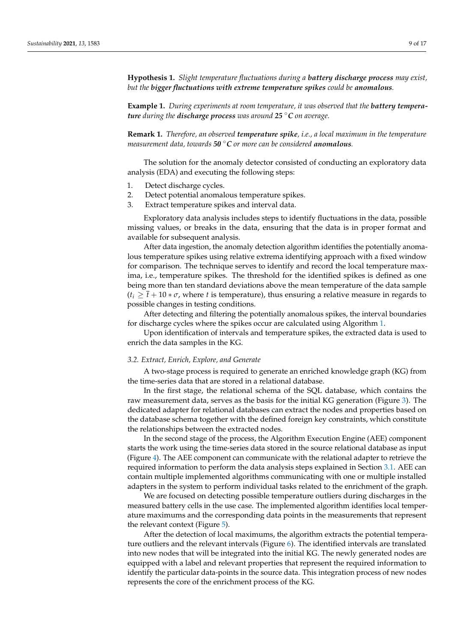**Hypothesis 1.** *Slight temperature fluctuations during a battery discharge process may exist, but the bigger fluctuations with extreme temperature spikes could be anomalous.*

**Example 1.** *During experiments at room temperature, it was observed that the battery temperature during the discharge process was around 25* ◦*C on average.*

**Remark 1.** *Therefore, an observed temperature spike, i.e., a local maximum in the temperature measurement data, towards 50* ◦*C or more can be considered anomalous.*

The solution for the anomaly detector consisted of conducting an exploratory data analysis (EDA) and executing the following steps:

- 1. Detect discharge cycles.
- 2. Detect potential anomalous temperature spikes.
- 3. Extract temperature spikes and interval data.

Exploratory data analysis includes steps to identify fluctuations in the data, possible missing values, or breaks in the data, ensuring that the data is in proper format and available for subsequent analysis.

After data ingestion, the anomaly detection algorithm identifies the potentially anomalous temperature spikes using relative extrema identifying approach with a fixed window for comparison. The technique serves to identify and record the local temperature maxima, i.e., temperature spikes. The threshold for the identified spikes is defined as one being more than ten standard deviations above the mean temperature of the data sample  $(t_i \geq \overline{t} + 10 * \sigma$ , where *t* is temperature), thus ensuring a relative measure in regards to possible changes in testing conditions.

After detecting and filtering the potentially anomalous spikes, the interval boundaries for discharge cycles where the spikes occur are calculated using Algorithm [1.](#page-9-0)

Upon identification of intervals and temperature spikes, the extracted data is used to enrich the data samples in the KG.

#### <span id="page-8-0"></span>*3.2. Extract, Enrich, Explore, and Generate*

A two-stage process is required to generate an enriched knowledge graph (KG) from the time-series data that are stored in a relational database.

In the first stage, the relational schema of the SQL database, which contains the raw measurement data, serves as the basis for the initial KG generation (Figure [3\)](#page-10-0). The dedicated adapter for relational databases can extract the nodes and properties based on the database schema together with the defined foreign key constraints, which constitute the relationships between the extracted nodes.

In the second stage of the process, the Algorithm Execution Engine (AEE) component starts the work using the time-series data stored in the source relational database as input (Figure [4\)](#page-10-1). The AEE component can communicate with the relational adapter to retrieve the required information to perform the data analysis steps explained in Section [3.1.](#page-7-1) AEE can contain multiple implemented algorithms communicating with one or multiple installed adapters in the system to perform individual tasks related to the enrichment of the graph.

We are focused on detecting possible temperature outliers during discharges in the measured battery cells in the use case. The implemented algorithm identifies local temperature maximums and the corresponding data points in the measurements that represent the relevant context (Figure [5\)](#page-11-0).

After the detection of local maximums, the algorithm extracts the potential temperature outliers and the relevant intervals (Figure [6\)](#page-11-1). The identified intervals are translated into new nodes that will be integrated into the initial KG. The newly generated nodes are equipped with a label and relevant properties that represent the required information to identify the particular data-points in the source data. This integration process of new nodes represents the core of the enrichment process of the KG.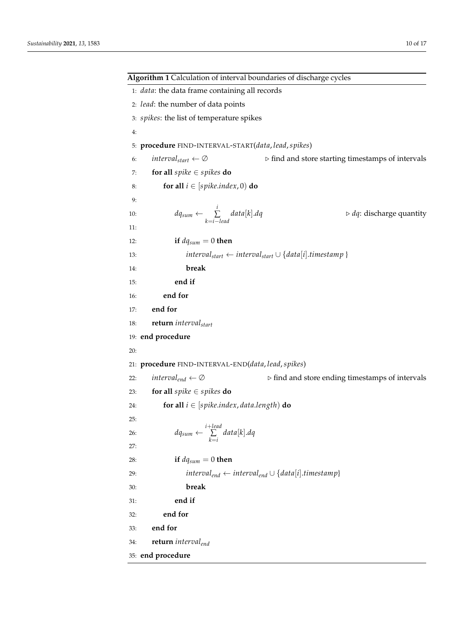<span id="page-9-0"></span>**Algorithm 1** Calculation of interval boundaries of discharge cycles 1: *data*: the data frame containing all records 2: *lead*: the number of data points 3: *spikes*: the list of temperature spikes 4: 5: **procedure** FIND-INTERVAL-START(*data*, *lead*,*spikes*) 6: *intervalstart* ← ∅ . find and store starting timestamps of intervals 7: **for all** *spike* ∈ *spikes* **do** 8: **for all**  $i \in [spike.index, 0)$  **do**  $Q$ 10:  $dq_{sum} \leftarrow \sum_{i=1}^{i}$ *k*=*i*−*lead*  $\triangleright dq$ : discharge quantity 11: 12: **if**  $dq_{sum} = 0$  **then** 13: *intervalstart* ← *intervalstart* ∪ {*data*[*i*].*timestamp* } 14: **break** 15: **end if** 16: **end for** 17: **end for** 18: **return** *intervalstart* 19: **end procedure** 20: 21: **procedure** FIND-INTERVAL-END(*data*, *lead*,*spikes*) 22: *interval<sub>end</sub>* ← ∅ .  $\triangleright$  find and store ending timestamps of intervals 23: **for all** *spike* ∈ *spikes* **do** 24: **for all**  $i \in [spike.index, data.length)$  **do** 25: 26:  $dq_{sum} \leftarrow \sum_{i+lead}$ ∑ *k*=*i data*[*k*].*dq* 27: 28: **if**  $dq_{sum} = 0$  **then** 29: *intervalend* ← *intervalend* ∪ {*data*[*i*].*timestamp*} 30: **break** 31: **end if** 32: **end for** 33: **end for** 34: **return** *intervalend* 35: **end procedure**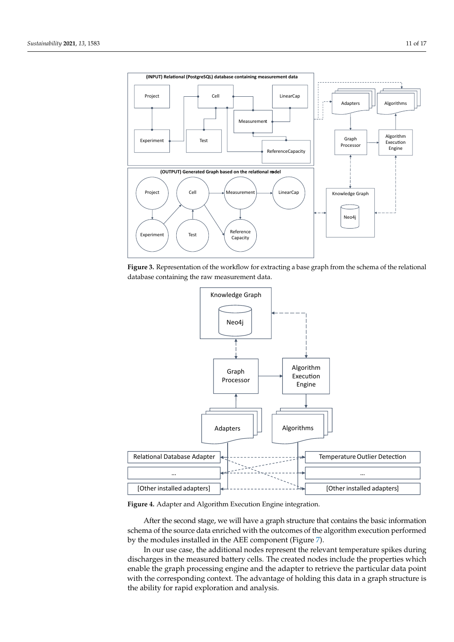<span id="page-10-0"></span>

**Figure 3.** Representation of the workflow for extracting a base graph from the schema of the relational database containing the raw measurement data.

<span id="page-10-1"></span>

**Figure 4.** Adapter and Algorithm Execution Engine integration.

After the second stage, we will have a graph structure that contains the basic information schema of the source data enriched with the outcomes of the algorithm execution performed by the modules installed in the AEE component (Figure [7\)](#page-11-2).

In our use case, the additional nodes represent the relevant temperature spikes during discharges in the measured battery cells. The created nodes include the properties which enable the graph processing engine and the adapter to retrieve the particular data point with the corresponding context. The advantage of holding this data in a graph structure is the ability for rapid exploration and analysis.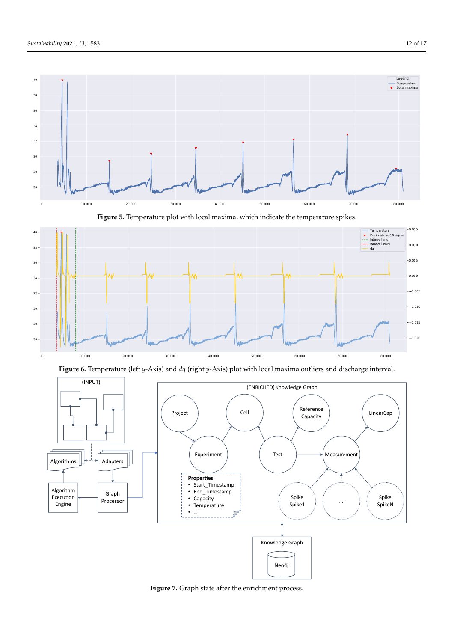<span id="page-11-0"></span>

**Figure 5.** Temperature plot with local maxima, which indicate the temperature spikes.

<span id="page-11-1"></span>

**Figure 6.** Temperature (left *y*-Axis) and *dq* (right *y*-Axis) plot with local maxima outliers and discharge interval.

<span id="page-11-2"></span>

**Figure 7.** Graph state after the enrichment process.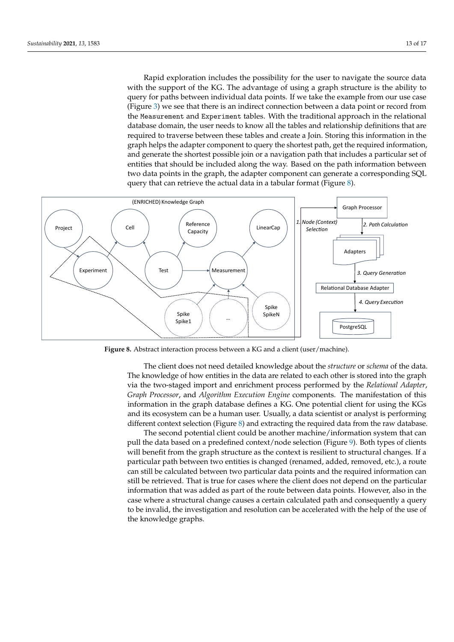Rapid exploration includes the possibility for the user to navigate the source data with the support of the KG. The advantage of using a graph structure is the ability to query for paths between individual data points. If we take the example from our use case (Figure [3\)](#page-10-0) we see that there is an indirect connection between a data point or record from the Measurement and Experiment tables. With the traditional approach in the relational database domain, the user needs to know all the tables and relationship definitions that are required to traverse between these tables and create a Join. Storing this information in the graph helps the adapter component to query the shortest path, get the required information, and generate the shortest possible join or a navigation path that includes a particular set of entities that should be included along the way. Based on the path information between two data points in the graph, the adapter component can generate a corresponding SQL query that can retrieve the actual data in a tabular format (Figure [8\)](#page-12-0).

<span id="page-12-0"></span>

**Figure 8.** Abstract interaction process between a KG and a client (user/machine).

The client does not need detailed knowledge about the *structure* or *schema* of the data. The knowledge of how entities in the data are related to each other is stored into the graph via the two-staged import and enrichment process performed by the *Relational Adapter*, *Graph Processor*, and *Algorithm Execution Engine* components. The manifestation of this information in the graph database defines a KG. One potential client for using the KGs and its ecosystem can be a human user. Usually, a data scientist or analyst is performing different context selection (Figure  $8$ ) and extracting the required data from the raw database.

The second potential client could be another machine/information system that can pull the data based on a predefined context/node selection (Figure [9\)](#page-13-1). Both types of clients will benefit from the graph structure as the context is resilient to structural changes. If a particular path between two entities is changed (renamed, added, removed, etc.), a route can still be calculated between two particular data points and the required information can still be retrieved. That is true for cases where the client does not depend on the particular information that was added as part of the route between data points. However, also in the case where a structural change causes a certain calculated path and consequently a query to be invalid, the investigation and resolution can be accelerated with the help of the use of the knowledge graphs.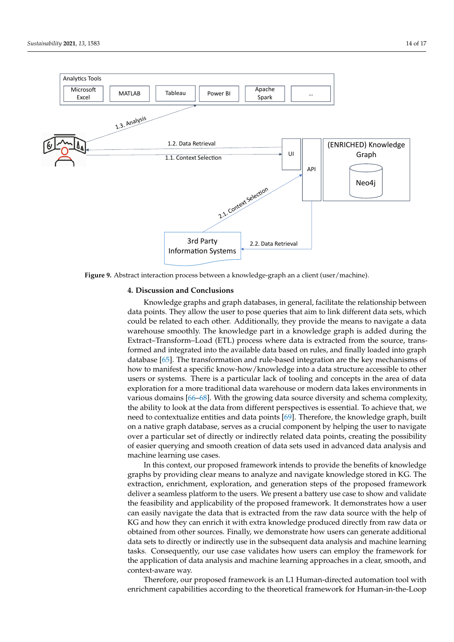<span id="page-13-1"></span>

**Figure 9.** Abstract interaction process between a knowledge-graph an a client (user/machine).

#### <span id="page-13-0"></span>**4. Discussion and Conclusions**

Knowledge graphs and graph databases, in general, facilitate the relationship between data points. They allow the user to pose queries that aim to link different data sets, which could be related to each other. Additionally, they provide the means to navigate a data warehouse smoothly. The knowledge part in a knowledge graph is added during the Extract–Transform–Load (ETL) process where data is extracted from the source, transformed and integrated into the available data based on rules, and finally loaded into graph database [\[65\]](#page-16-24). The transformation and rule-based integration are the key mechanisms of how to manifest a specific know-how/knowledge into a data structure accessible to other users or systems. There is a particular lack of tooling and concepts in the area of data exploration for a more traditional data warehouse or modern data lakes environments in various domains [\[66–](#page-16-25)[68\]](#page-16-26). With the growing data source diversity and schema complexity, the ability to look at the data from different perspectives is essential. To achieve that, we need to contextualize entities and data points [\[69\]](#page-16-27). Therefore, the knowledge graph, built on a native graph database, serves as a crucial component by helping the user to navigate over a particular set of directly or indirectly related data points, creating the possibility of easier querying and smooth creation of data sets used in advanced data analysis and machine learning use cases.

In this context, our proposed framework intends to provide the benefits of knowledge graphs by providing clear means to analyze and navigate knowledge stored in KG. The extraction, enrichment, exploration, and generation steps of the proposed framework deliver a seamless platform to the users. We present a battery use case to show and validate the feasibility and applicability of the proposed framework. It demonstrates how a user can easily navigate the data that is extracted from the raw data source with the help of KG and how they can enrich it with extra knowledge produced directly from raw data or obtained from other sources. Finally, we demonstrate how users can generate additional data sets to directly or indirectly use in the subsequent data analysis and machine learning tasks. Consequently, our use case validates how users can employ the framework for the application of data analysis and machine learning approaches in a clear, smooth, and context-aware way.

Therefore, our proposed framework is an L1 Human-directed automation tool with enrichment capabilities according to the theoretical framework for Human-in-the-Loop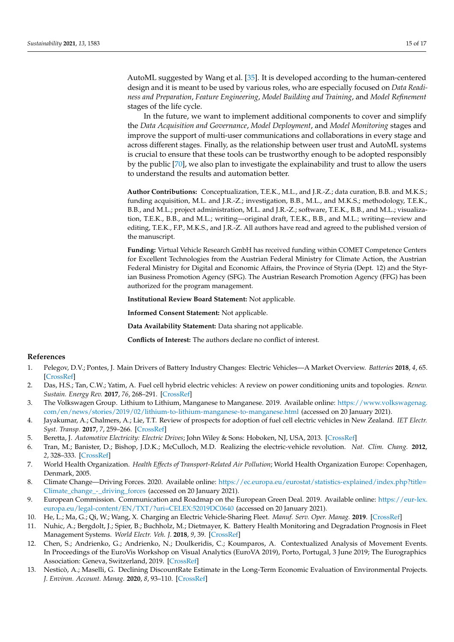AutoML suggested by Wang et al. [\[35\]](#page-15-16). It is developed according to the human-centered design and it is meant to be used by various roles, who are especially focused on *Data Readiness and Preparation*, *Feature Engineering*, *Model Building and Training*, and *Model Refinement* stages of the life cycle.

In the future, we want to implement additional components to cover and simplify the *Data Acquisition and Governance*, *Model Deployment*, and *Model Monitoring* stages and improve the support of multi-user communications and collaborations in every stage and across different stages. Finally, as the relationship between user trust and AutoML systems is crucial to ensure that these tools can be trustworthy enough to be adopted responsibly by the public [\[70\]](#page-16-28), we also plan to investigate the explainability and trust to allow the users to understand the results and automation better.

**Author Contributions:** Conceptualization, T.E.K., M.L., and J.R.-Z.; data curation, B.B. and M.K.S.; funding acquisition, M.L. and J.R.-Z.; investigation, B.B., M.L., and M.K.S.; methodology, T.E.K., B.B., and M.L.; project administration, M.L. and J.R.-Z.; software, T.E.K., B.B., and M.L.; visualization, T.E.K., B.B., and M.L.; writing—original draft, T.E.K., B.B., and M.L.; writing—review and editing, T.E.K., F.P., M.K.S., and J.R.-Z. All authors have read and agreed to the published version of the manuscript.

**Funding:** Virtual Vehicle Research GmbH has received funding within COMET Competence Centers for Excellent Technologies from the Austrian Federal Ministry for Climate Action, the Austrian Federal Ministry for Digital and Economic Affairs, the Province of Styria (Dept. 12) and the Styrian Business Promotion Agency (SFG). The Austrian Research Promotion Agency (FFG) has been authorized for the program management.

**Institutional Review Board Statement:** Not applicable.

**Informed Consent Statement:** Not applicable.

**Data Availability Statement:** Data sharing not applicable.

**Conflicts of Interest:** The authors declare no conflict of interest.

#### **References**

- <span id="page-14-0"></span>1. Pelegov, D.V.; Pontes, J. Main Drivers of Battery Industry Changes: Electric Vehicles—A Market Overview. *Batteries* **2018**, *4*, 65. [\[CrossRef\]](http://doi.org/10.3390/batteries4040065)
- <span id="page-14-1"></span>2. Das, H.S.; Tan, C.W.; Yatim, A. Fuel cell hybrid electric vehicles: A review on power conditioning units and topologies. *Renew. Sustain. Energy Rev.* **2017**, *76*, 268–291. [\[CrossRef\]](http://dx.doi.org/10.1016/j.rser.2017.03.056)
- <span id="page-14-2"></span>3. The Volkswagen Group. Lithium to Lithium, Manganese to Manganese. 2019. Available online: [https://www.volkswagenag.](https://www.volkswagenag.com/en/news/stories/2019/02/lithium-to-lithium-manganese-to-manganese.html) [com/en/news/stories/2019/02/lithium-to-lithium-manganese-to-manganese.html](https://www.volkswagenag.com/en/news/stories/2019/02/lithium-to-lithium-manganese-to-manganese.html) (accessed on 20 January 2021).
- <span id="page-14-3"></span>4. Jayakumar, A.; Chalmers, A.; Lie, T.T. Review of prospects for adoption of fuel cell electric vehicles in New Zealand. *IET Electr. Syst. Transp.* **2017**, *7*, 259–266. [\[CrossRef\]](http://dx.doi.org/10.1049/iet-est.2016.0078)
- <span id="page-14-4"></span>5. Beretta, J. *Automotive Electricity: Electric Drives*; John Wiley & Sons: Hoboken, NJ, USA, 2013. [\[CrossRef\]](http://dx.doi.org/10.1002/9781118557549)
- <span id="page-14-5"></span>6. Tran, M.; Banister, D.; Bishop, J.D.K.; McCulloch, M.D. Realizing the electric-vehicle revolution. *Nat. Clim. Chang.* **2012**, *2*, 328–333. [\[CrossRef\]](http://dx.doi.org/10.1038/nclimate1429)
- <span id="page-14-6"></span>7. World Health Organization. *Health Effects of Transport-Related Air Pollution*; World Health Organization Europe: Copenhagen, Denmark, 2005.
- <span id="page-14-7"></span>8. Climate Change—Driving Forces. 2020. Available online: [https://ec.europa.eu/eurostat/statistics-explained/index.php?title=](https://ec.europa.eu/eurostat/statistics-explained/index.php?title=Climate_change_-_driving_forces) [Climate\\_change\\_-\\_driving\\_forces](https://ec.europa.eu/eurostat/statistics-explained/index.php?title=Climate_change_-_driving_forces) (accessed on 20 January 2021).
- <span id="page-14-8"></span>9. European Commission. Communication and Roadmap on the European Green Deal. 2019. Available online: [https://eur-lex.](https://eur-lex.europa.eu/legal-content/EN/TXT/?uri=CELEX:52019DC0640) [europa.eu/legal-content/EN/TXT/?uri=CELEX:52019DC0640](https://eur-lex.europa.eu/legal-content/EN/TXT/?uri=CELEX:52019DC0640) (accessed on 20 January 2021).
- <span id="page-14-9"></span>10. He, L.; Ma, G.; Qi, W.; Wang, X. Charging an Electric Vehicle-Sharing Fleet. *Manuf. Serv. Oper. Manag.* **2019**. [\[CrossRef\]](http://dx.doi.org/10.1287/msom.2019.0851)
- <span id="page-14-10"></span>11. Nuhic, A.; Bergdolt, J.; Spier, B.; Buchholz, M.; Dietmayer, K. Battery Health Monitoring and Degradation Prognosis in Fleet Management Systems. *World Electr. Veh. J.* **2018**, *9*, 39. [\[CrossRef\]](http://dx.doi.org/10.3390/wevj9030039)
- <span id="page-14-11"></span>12. Chen, S.; Andrienko, G.; Andrienko, N.; Doulkeridis, C.; Koumparos, A. Contextualized Analysis of Movement Events. In Proceedings of the EuroVis Workshop on Visual Analytics (EuroVA 2019), Porto, Portugal, 3 June 2019; The Eurographics Association: Geneva, Switzerland, 2019. [\[CrossRef\]](http://dx.doi.org/10.2312/eurova.20191124)
- <span id="page-14-12"></span>13. Nesticò, A.; Maselli, G. Declining DiscountRate Estimate in the Long-Term Economic Evaluation of Environmental Projects. *J. Environ. Account. Manag.* **2020**, *8*, 93–110. [\[CrossRef\]](http://dx.doi.org/10.5890/JEAM.2020.03.007)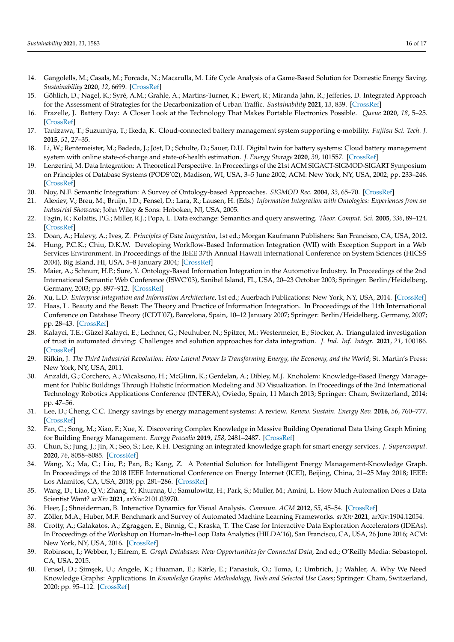- <span id="page-15-0"></span>14. Gangolells, M.; Casals, M.; Forcada, N.; Macarulla, M. Life Cycle Analysis of a Game-Based Solution for Domestic Energy Saving. *Sustainability* **2020**, *12*, 6699. [\[CrossRef\]](http://dx.doi.org/10.3390/su12176699)
- <span id="page-15-1"></span>15. Göhlich, D.; Nagel, K.; Syré, A.M.; Grahle, A.; Martins-Turner, K.; Ewert, R.; Miranda Jahn, R.; Jefferies, D. Integrated Approach for the Assessment of Strategies for the Decarbonization of Urban Traffic. *Sustainability* **2021**, *13*, 839. [\[CrossRef\]](http://dx.doi.org/10.3390/su13020839)
- <span id="page-15-2"></span>16. Frazelle, J. Battery Day: A Closer Look at the Technology That Makes Portable Electronics Possible. *Queue* **2020**, *18*, 5–25. [\[CrossRef\]](http://dx.doi.org/10.1145/3434571.3439415)
- <span id="page-15-3"></span>17. Tanizawa, T.; Suzumiya, T.; Ikeda, K. Cloud-connected battery management system supporting e-mobility. *Fujitsu Sci. Tech. J.* **2015**, *51*, 27–35.
- <span id="page-15-4"></span>18. Li, W.; Rentemeister, M.; Badeda, J.; Jöst, D.; Schulte, D.; Sauer, D.U. Digital twin for battery systems: Cloud battery management system with online state-of-charge and state-of-health estimation. *J. Energy Storage* **2020**, *30*, 101557. [\[CrossRef\]](http://dx.doi.org/10.1016/j.est.2020.101557)
- <span id="page-15-5"></span>19. Lenzerini, M. Data Integration: A Theoretical Perspective. In Proceedings of the 21st ACM SIGACT-SIGMOD-SIGART Symposium on Principles of Database Systems (PODS'02), Madison, WI, USA, 3–5 June 2002; ACM: New York, NY, USA, 2002; pp. 233–246. [\[CrossRef\]](http://dx.doi.org/10.1145/543613.543644)
- 20. Noy, N.F. Semantic Integration: A Survey of Ontology-based Approaches. *SIGMOD Rec.* **2004**, *33*, 65–70. [\[CrossRef\]](http://dx.doi.org/10.1145/1041410.1041421)
- 21. Alexiev, V.; Breu, M.; Bruijn, J.D.; Fensel, D.; Lara, R.; Lausen, H. (Eds.) *Information Integration with Ontologies: Experiences from an Industrial Showcase*; John Wiley & Sons: Hoboken, NJ, USA, 2005.
- 22. Fagin, R.; Kolaitis, P.G.; Miller, R.J.; Popa, L. Data exchange: Semantics and query answering. *Theor. Comput. Sci.* **2005**, *336*, 89–124. [\[CrossRef\]](http://dx.doi.org/10.1016/j.tcs.2004.10.033)
- <span id="page-15-6"></span>23. Doan, A.; Halevy, A.; Ives, Z. *Principles of Data Integration*, 1st ed.; Morgan Kaufmann Publishers: San Francisco, CA, USA, 2012.
- <span id="page-15-7"></span>24. Hung, P.C.K.; Chiu, D.K.W. Developing Workflow-Based Information Integration (WII) with Exception Support in a Web Services Environment. In Proceedings of the IEEE 37th Annual Hawaii International Conference on System Sciences (HICSS 2004), Big Island, HI, USA, 5–8 January 2004; [\[CrossRef\]](http://dx.doi.org/10.1109/HICSS.2004.1265490)
- <span id="page-15-8"></span>25. Maier, A.; Schnurr, H.P.; Sure, Y. Ontology-Based Information Integration in the Automotive Industry. In Proceedings of the 2nd International Semantic Web Conference (ISWC'03), Sanibel Island, FL, USA, 20–23 October 2003; Springer: Berlin/Heidelberg, Germany, 2003; pp. 897–912. [\[CrossRef\]](http://dx.doi.org/10.1007/978-3-540-39718-2_57)
- <span id="page-15-9"></span>26. Xu, L.D. *Enterprise Integration and Information Architecture*, 1st ed.; Auerbach Publications: New York, NY, USA, 2014. [\[CrossRef\]](http://dx.doi.org/10.1201/b17156)
- <span id="page-15-10"></span>27. Haas, L. Beauty and the Beast: The Theory and Practice of Information Integration. In Proceedings of the 11th International Conference on Database Theory (ICDT'07), Barcelona, Spain, 10–12 January 2007; Springer: Berlin/Heidelberg, Germany, 2007; pp. 28–43. [\[CrossRef\]](http://dx.doi.org/10.1007/11965893_3)
- <span id="page-15-11"></span>28. Kalayci, T.E.; Güzel Kalayci, E.; Lechner, G.; Neuhuber, N.; Spitzer, M.; Westermeier, E.; Stocker, A. Triangulated investigation of trust in automated driving: Challenges and solution approaches for data integration. *J. Ind. Inf. Integr.* **2021**, *21*, 100186. [\[CrossRef\]](http://dx.doi.org/10.1016/j.jii.2020.100186)
- <span id="page-15-12"></span>29. Rifkin, J. *The Third Industrial Revolution: How Lateral Power Is Transforming Energy, the Economy, and the World; St. Martin's Press:* New York, NY, USA, 2011.
- <span id="page-15-13"></span>30. Anzaldi, G.; Corchero, A.; Wicaksono, H.; McGlinn, K.; Gerdelan, A.; Dibley, M.J. Knoholem: Knowledge-Based Energy Management for Public Buildings Through Holistic Information Modeling and 3D Visualization. In Proceedings of the 2nd International Technology Robotics Applications Conference (INTERA), Oviedo, Spain, 11 March 2013; Springer: Cham, Switzerland, 2014; pp. 47–56.
- 31. Lee, D.; Cheng, C.C. Energy savings by energy management systems: A review. *Renew. Sustain. Energy Rev.* **2016**, *56*, 760–777. [\[CrossRef\]](http://dx.doi.org/10.1016/j.rser.2015.11.067)
- 32. Fan, C.; Song, M.; Xiao, F.; Xue, X. Discovering Complex Knowledge in Massive Building Operational Data Using Graph Mining for Building Energy Management. *Energy Procedia* **2019**, *158*, 2481–2487. [\[CrossRef\]](http://dx.doi.org/10.1016/j.egypro.2019.01.378)
- <span id="page-15-14"></span>33. Chun, S.; Jung, J.; Jin, X.; Seo, S.; Lee, K.H. Designing an integrated knowledge graph for smart energy services. *J. Supercomput.* **2020**, *76*, 8058–8085. [\[CrossRef\]](http://dx.doi.org/10.1007/s11227-018-2672-3)
- <span id="page-15-15"></span>34. Wang, X.; Ma, C.; Liu, P.; Pan, B.; Kang, Z. A Potential Solution for Intelligent Energy Management-Knowledge Graph. In Proceedings of the 2018 IEEE International Conference on Energy Internet (ICEI), Beijing, China, 21–25 May 2018; IEEE: Los Alamitos, CA, USA, 2018; pp. 281–286. [\[CrossRef\]](http://dx.doi.org/10.1109/ICEI.2018.00058)
- <span id="page-15-16"></span>35. Wang, D.; Liao, Q.V.; Zhang, Y.; Khurana, U.; Samulowitz, H.; Park, S.; Muller, M.; Amini, L. How Much Automation Does a Data Scientist Want? *arXiv* **2021**, arXiv:2101.03970.
- <span id="page-15-17"></span>36. Heer, J.; Shneiderman, B. Interactive Dynamics for Visual Analysis. *Commun. ACM* **2012**, *55*, 45–54. [\[CrossRef\]](http://dx.doi.org/10.1145/2133806.2133821)
- <span id="page-15-18"></span>37. Zöller, M.A.; Huber, M.F. Benchmark and Survey of Automated Machine Learning Frameworks. *arXiv* **2021**, arXiv:1904.12054.
- <span id="page-15-19"></span>38. Crotty, A.; Galakatos, A.; Zgraggen, E.; Binnig, C.; Kraska, T. The Case for Interactive Data Exploration Accelerators (IDEAs). In Proceedings of the Workshop on Human-In-the-Loop Data Analytics (HILDA'16), San Francisco, CA, USA, 26 June 2016; ACM: New York, NY, USA, 2016. [\[CrossRef\]](http://dx.doi.org/10.1145/2939502.2939513)
- <span id="page-15-20"></span>39. Robinson, I.; Webber, J.; Eifrem, E. *Graph Databases: New Opportunities for Connected Data*, 2nd ed.; O'Reilly Media: Sebastopol, CA, USA, 2015.
- <span id="page-15-21"></span>40. Fensel, D.; Şimşek, U.; Angele, K.; Huaman, E.; Kärle, E.; Panasiuk, O.; Toma, I.; Umbrich, J.; Wahler, A. Why We Need Knowledge Graphs: Applications. In *Knowledge Graphs: Methodology, Tools and Selected Use Cases*; Springer: Cham, Switzerland, 2020; pp. 95–112. [\[CrossRef\]](http://dx.doi.org/10.1007/978-3-030-37439-6_4)